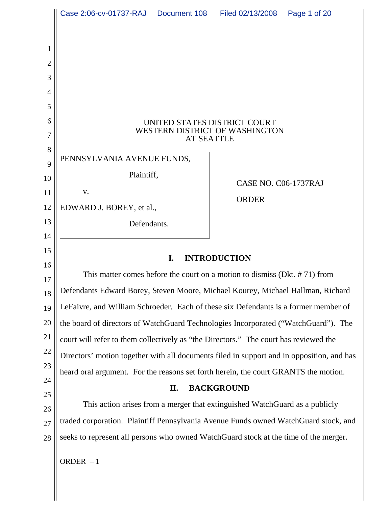|                | Case 2:06-cv-01737-RAJ Document 108                                                       |  | Filed 02/13/2008     | Page 1 of 20 |
|----------------|-------------------------------------------------------------------------------------------|--|----------------------|--------------|
|                |                                                                                           |  |                      |              |
| 1              |                                                                                           |  |                      |              |
| $\overline{2}$ |                                                                                           |  |                      |              |
| 3              |                                                                                           |  |                      |              |
| 4              |                                                                                           |  |                      |              |
| 5              |                                                                                           |  |                      |              |
| 6<br>7         | UNITED STATES DISTRICT COURT<br>WESTERN DISTRICT OF WASHINGTON                            |  |                      |              |
| 8              | <b>AT SEATTLE</b>                                                                         |  |                      |              |
| 9              | PENNSYLVANIA AVENUE FUNDS,                                                                |  |                      |              |
| 10             | Plaintiff,                                                                                |  | CASE NO. C06-1737RAJ |              |
| 11             | V.                                                                                        |  | <b>ORDER</b>         |              |
| 12             | EDWARD J. BOREY, et al.,                                                                  |  |                      |              |
| 13             | Defendants.                                                                               |  |                      |              |
| 14             |                                                                                           |  |                      |              |
| 15<br>16       | <b>INTRODUCTION</b><br>I.                                                                 |  |                      |              |
| 17             | This matter comes before the court on a motion to dismiss (Dkt. $# 71$ ) from             |  |                      |              |
| 18             | Defendants Edward Borey, Steven Moore, Michael Kourey, Michael Hallman, Richard           |  |                      |              |
| 19             | LeFaivre, and William Schroeder. Each of these six Defendants is a former member of       |  |                      |              |
| 20             | the board of directors of WatchGuard Technologies Incorporated ("WatchGuard"). The        |  |                      |              |
| 21             | court will refer to them collectively as "the Directors." The court has reviewed the      |  |                      |              |
| 22             | Directors' motion together with all documents filed in support and in opposition, and has |  |                      |              |
| 23             | heard oral argument. For the reasons set forth herein, the court GRANTS the motion.       |  |                      |              |
| 24<br>25       | <b>BACKGROUND</b><br>П.                                                                   |  |                      |              |
| 26             | This action arises from a merger that extinguished WatchGuard as a publicly               |  |                      |              |
| 27             | traded corporation. Plaintiff Pennsylvania Avenue Funds owned WatchGuard stock, and       |  |                      |              |
| 28             | seeks to represent all persons who owned WatchGuard stock at the time of the merger.      |  |                      |              |
|                | ORDER $-1$                                                                                |  |                      |              |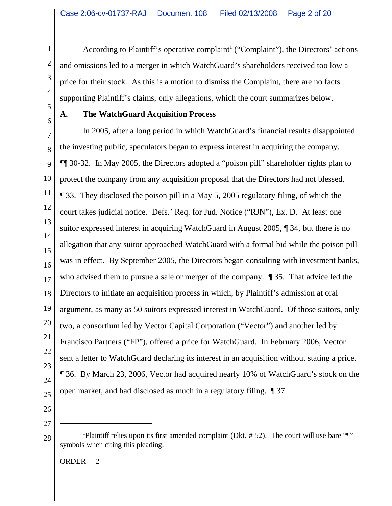According to Plaintiff's operative complaint<sup>1</sup> ("Complaint"), the Directors' actions and omissions led to a merger in which WatchGuard's shareholders received too low a price for their stock. As this is a motion to dismiss the Complaint, there are no facts supporting Plaintiff's claims, only allegations, which the court summarizes below.

# 6

1

2

3

4

5

#### **A. The WatchGuard Acquisition Process**

7 8 9 10 11 12 13 14 15 16 17 18 19 20 21 22 23 24 25 In 2005, after a long period in which WatchGuard's financial results disappointed the investing public, speculators began to express interest in acquiring the company. ¶¶ 30-32. In May 2005, the Directors adopted a "poison pill" shareholder rights plan to protect the company from any acquisition proposal that the Directors had not blessed. ¶ 33. They disclosed the poison pill in a May 5, 2005 regulatory filing, of which the court takes judicial notice. Defs.' Req. for Jud. Notice ("RJN"), Ex. D. At least one suitor expressed interest in acquiring WatchGuard in August 2005, ¶ 34, but there is no allegation that any suitor approached WatchGuard with a formal bid while the poison pill was in effect. By September 2005, the Directors began consulting with investment banks, who advised them to pursue a sale or merger of the company. ¶ 35. That advice led the Directors to initiate an acquisition process in which, by Plaintiff's admission at oral argument, as many as 50 suitors expressed interest in WatchGuard. Of those suitors, only two, a consortium led by Vector Capital Corporation ("Vector") and another led by Francisco Partners ("FP"), offered a price for WatchGuard. In February 2006, Vector sent a letter to WatchGuard declaring its interest in an acquisition without stating a price. ¶ 36. By March 23, 2006, Vector had acquired nearly 10% of WatchGuard's stock on the open market, and had disclosed as much in a regulatory filing. ¶ 37.

- 26
- 27 28

<sup>&</sup>lt;sup>1</sup>Plaintiff relies upon its first amended complaint (Dkt. #52). The court will use bare "[" symbols when citing this pleading.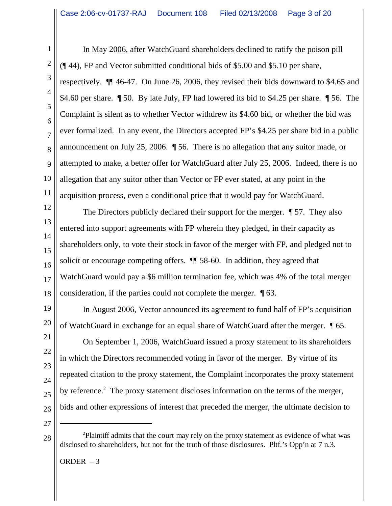1 2 3 4 5 In May 2006, after WatchGuard shareholders declined to ratify the poison pill (¶ 44), FP and Vector submitted conditional bids of \$5.00 and \$5.10 per share, respectively. ¶¶ 46-47. On June 26, 2006, they revised their bids downward to \$4.65 and \$4.60 per share. ¶ 50. By late July, FP had lowered its bid to \$4.25 per share. ¶ 56. The Complaint is silent as to whether Vector withdrew its \$4.60 bid, or whether the bid was ever formalized. In any event, the Directors accepted FP's \$4.25 per share bid in a public announcement on July 25, 2006. ¶ 56. There is no allegation that any suitor made, or attempted to make, a better offer for WatchGuard after July 25, 2006. Indeed, there is no allegation that any suitor other than Vector or FP ever stated, at any point in the acquisition process, even a conditional price that it would pay for WatchGuard.

The Directors publicly declared their support for the merger. ¶ 57. They also entered into support agreements with FP wherein they pledged, in their capacity as shareholders only, to vote their stock in favor of the merger with FP, and pledged not to solicit or encourage competing offers. ¶¶ 58-60. In addition, they agreed that WatchGuard would pay a \$6 million termination fee, which was 4% of the total merger consideration, if the parties could not complete the merger. ¶ 63.

In August 2006, Vector announced its agreement to fund half of FP's acquisition of WatchGuard in exchange for an equal share of WatchGuard after the merger. ¶ 65.

On September 1, 2006, WatchGuard issued a proxy statement to its shareholders in which the Directors recommended voting in favor of the merger. By virtue of its repeated citation to the proxy statement, the Complaint incorporates the proxy statement by reference.<sup>2</sup> The proxy statement discloses information on the terms of the merger, bids and other expressions of interest that preceded the merger, the ultimate decision to

ORDER  $-3$ 

<sup>&</sup>lt;sup>2</sup>Plaintiff admits that the court may rely on the proxy statement as evidence of what was disclosed to shareholders, but not for the truth of those disclosures. Pltf.'s Opp'n at 7 n.3.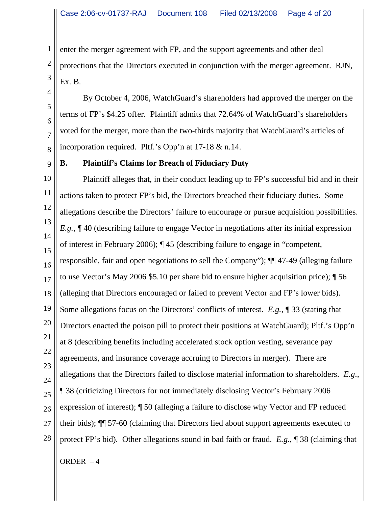enter the merger agreement with FP, and the support agreements and other deal protections that the Directors executed in conjunction with the merger agreement. RJN, Ex. B.

By October 4, 2006, WatchGuard's shareholders had approved the merger on the terms of FP's \$4.25 offer. Plaintiff admits that 72.64% of WatchGuard's shareholders voted for the merger, more than the two-thirds majority that WatchGuard's articles of incorporation required. Pltf.'s Opp'n at 17-18 & n.14.

9

1

2

3

4

5

6

7

8

#### **B. Plaintiff's Claims for Breach of Fiduciary Duty**

10 11 12 13 14 15 16 17 18 19 20 21 22 23 24 25 26 27 28 Plaintiff alleges that, in their conduct leading up to FP's successful bid and in their actions taken to protect FP's bid, the Directors breached their fiduciary duties. Some allegations describe the Directors' failure to encourage or pursue acquisition possibilities. *E.g.*, ¶ 40 (describing failure to engage Vector in negotiations after its initial expression of interest in February 2006); ¶ 45 (describing failure to engage in "competent, responsible, fair and open negotiations to sell the Company"); ¶¶ 47-49 (alleging failure to use Vector's May 2006 \$5.10 per share bid to ensure higher acquisition price); ¶ 56 (alleging that Directors encouraged or failed to prevent Vector and FP's lower bids). Some allegations focus on the Directors' conflicts of interest. *E.g.*, ¶ 33 (stating that Directors enacted the poison pill to protect their positions at WatchGuard); Pltf.'s Opp'n at 8 (describing benefits including accelerated stock option vesting, severance pay agreements, and insurance coverage accruing to Directors in merger). There are allegations that the Directors failed to disclose material information to shareholders. *E.g*., ¶ 38 (criticizing Directors for not immediately disclosing Vector's February 2006 expression of interest); ¶ 50 (alleging a failure to disclose why Vector and FP reduced their bids); ¶¶ 57-60 (claiming that Directors lied about support agreements executed to protect FP's bid). Other allegations sound in bad faith or fraud. *E.g.*, ¶ 38 (claiming that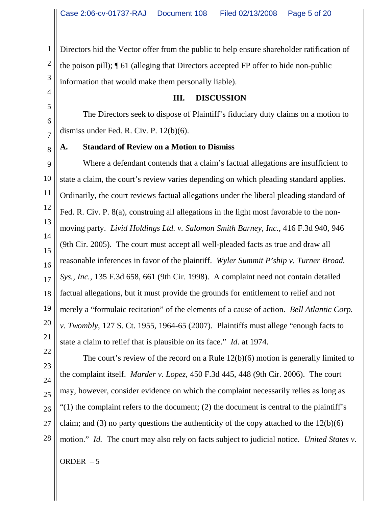1 2 3 Directors hid the Vector offer from the public to help ensure shareholder ratification of the poison pill); ¶ 61 (alleging that Directors accepted FP offer to hide non-public information that would make them personally liable).

#### **III. DISCUSSION**

The Directors seek to dispose of Plaintiff's fiduciary duty claims on a motion to dismiss under Fed. R. Civ. P. 12(b)(6).

#### **A. Standard of Review on a Motion to Dismiss**

9 10 11 12 13 14 15 16 17 18 Where a defendant contends that a claim's factual allegations are insufficient to state a claim, the court's review varies depending on which pleading standard applies. Ordinarily, the court reviews factual allegations under the liberal pleading standard of Fed. R. Civ. P. 8(a), construing all allegations in the light most favorable to the nonmoving party. *Livid Holdings Ltd. v. Salomon Smith Barney, Inc.*, 416 F.3d 940, 946 (9th Cir. 2005). The court must accept all well-pleaded facts as true and draw all reasonable inferences in favor of the plaintiff. *Wyler Summit P'ship v. Turner Broad. Sys., Inc.*, 135 F.3d 658, 661 (9th Cir. 1998).A complaint need not contain detailed factual allegations, but it must provide the grounds for entitlement to relief and not merely a "formulaic recitation" of the elements of a cause of action. *Bell Atlantic Corp. v. Twombly*, 127 S. Ct. 1955, 1964-65 (2007). Plaintiffs must allege "enough facts to state a claim to relief that is plausible on its face." *Id*. at 1974.

28

4

5

6

7

8

The court's review of the record on a Rule 12(b)(6) motion is generally limited to the complaint itself. *Marder v. Lopez*, 450 F.3d 445, 448 (9th Cir. 2006). The court may, however, consider evidence on which the complaint necessarily relies as long as  $(1)$  the complaint refers to the document; (2) the document is central to the plaintiff's claim; and (3) no party questions the authenticity of the copy attached to the  $12(b)(6)$ motion." *Id.* The court may also rely on facts subject to judicial notice. *United States v.*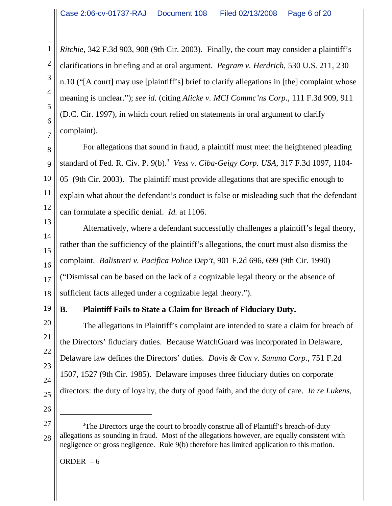*Ritchie*, 342 F.3d 903, 908 (9th Cir. 2003). Finally, the court may consider a plaintiff's clarifications in briefing and at oral argument. *Pegram v. Herdrich*, 530 U.S. 211, 230 n.10 ("[A court] may use [plaintiff's] brief to clarify allegations in [the] complaint whose meaning is unclear."); *see id.* (citing *Alicke v. MCI Commc'ns Corp.*, 111 F.3d 909, 911 (D.C. Cir. 1997), in which court relied on statements in oral argument to clarify complaint).

For allegations that sound in fraud, a plaintiff must meet the heightened pleading standard of Fed. R. Civ. P. 9(b).3 *Vess v. Ciba-Geigy Corp. USA*, 317 F.3d 1097, 1104- 05 (9th Cir. 2003). The plaintiff must provide allegations that are specific enough to explain what about the defendant's conduct is false or misleading such that the defendant can formulate a specific denial. *Id.* at 1106.

Alternatively, where a defendant successfully challenges a plaintiff's legal theory, rather than the sufficiency of the plaintiff's allegations, the court must also dismiss the complaint. *Balistreri v. Pacifica Police Dep't*, 901 F.2d 696, 699 (9th Cir. 1990) ("Dismissal can be based on the lack of a cognizable legal theory or the absence of sufficient facts alleged under a cognizable legal theory.").

# **B. Plaintiff Fails to State a Claim for Breach of Fiduciary Duty.**

The allegations in Plaintiff's complaint are intended to state a claim for breach of the Directors' fiduciary duties. Because WatchGuard was incorporated in Delaware, Delaware law defines the Directors' duties. *Davis & Cox v. Summa Corp.*, 751 F.2d 1507, 1527 (9th Cir. 1985). Delaware imposes three fiduciary duties on corporate directors: the duty of loyalty, the duty of good faith, and the duty of care. *In re Lukens,*

26

ORDER  $-6$ 

<sup>27</sup> 28 <sup>3</sup>The Directors urge the court to broadly construe all of Plaintiff's breach-of-duty allegations as sounding in fraud. Most of the allegations however, are equally consistent with negligence or gross negligence. Rule 9(b) therefore has limited application to this motion.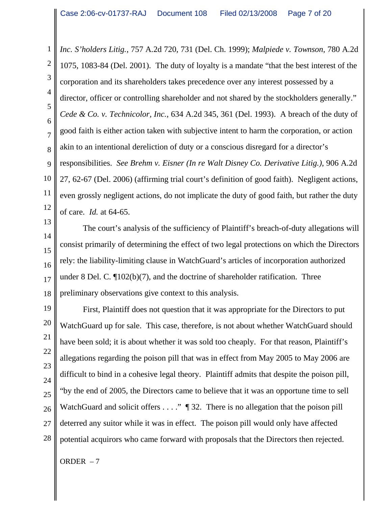1 2 3 4 5 6 7 8 9 10 11 12 *Inc. S'holders Litig.*, 757 A.2d 720, 731 (Del. Ch. 1999); *Malpiede v. Townson*, 780 A.2d 1075, 1083-84 (Del. 2001). The duty of loyalty is a mandate "that the best interest of the corporation and its shareholders takes precedence over any interest possessed by a director, officer or controlling shareholder and not shared by the stockholders generally." *Cede & Co. v. Technicolor, Inc.*, 634 A.2d 345, 361 (Del. 1993). A breach of the duty of good faith is either action taken with subjective intent to harm the corporation, or action akin to an intentional dereliction of duty or a conscious disregard for a director's responsibilities. *See Brehm v. Eisner (In re Walt Disney Co. Derivative Litig.)*, 906 A.2d 27, 62-67 (Del. 2006) (affirming trial court's definition of good faith). Negligent actions, even grossly negligent actions, do not implicate the duty of good faith, but rather the duty of care. *Id.* at 64-65.

13 14 15 16 18 The court's analysis of the sufficiency of Plaintiff's breach-of-duty allegations will consist primarily of determining the effect of two legal protections on which the Directors rely: the liability-limiting clause in WatchGuard's articles of incorporation authorized under 8 Del. C. ¶102(b)(7), and the doctrine of shareholder ratification. Three preliminary observations give context to this analysis.

19 20 21 22 23 24 25 26 27 28 First, Plaintiff does not question that it was appropriate for the Directors to put WatchGuard up for sale. This case, therefore, is not about whether WatchGuard should have been sold; it is about whether it was sold too cheaply. For that reason, Plaintiff's allegations regarding the poison pill that was in effect from May 2005 to May 2006 are difficult to bind in a cohesive legal theory. Plaintiff admits that despite the poison pill, "by the end of 2005, the Directors came to believe that it was an opportune time to sell WatchGuard and solicit offers  $\dots$ ."  $\P$  32. There is no allegation that the poison pill deterred any suitor while it was in effect. The poison pill would only have affected potential acquirors who came forward with proposals that the Directors then rejected.

ORDER  $-7$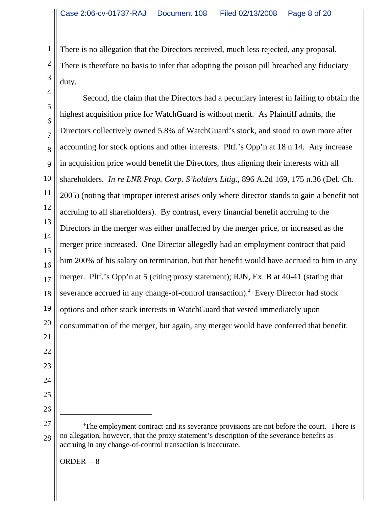There is no allegation that the Directors received, much less rejected, any proposal. There is therefore no basis to infer that adopting the poison pill breached any fiduciary duty.

4 5 6 7 8 9 10 11 12 13 14 15 16 17 18 19 20 21 22 23 24 25 26 27 28 <sup>4</sup>The employment contract and its severance provisions are not before the court. There is no allegation, however, that the proxy statement's description of the severance benefits as accruing in any change-of-control transaction is inaccurate. Second, the claim that the Directors had a pecuniary interest in failing to obtain the highest acquisition price for WatchGuard is without merit. As Plaintiff admits, the Directors collectively owned 5.8% of WatchGuard's stock, and stood to own more after accounting for stock options and other interests. Pltf.'s Opp'n at 18 n.14. Any increase in acquisition price would benefit the Directors, thus aligning their interests with all shareholders. *In re LNR Prop. Corp. S'holders Litig*., 896 A.2d 169, 175 n.36 (Del. Ch. 2005) (noting that improper interest arises only where director stands to gain a benefit not accruing to all shareholders). By contrast, every financial benefit accruing to the Directors in the merger was either unaffected by the merger price, or increased as the merger price increased. One Director allegedly had an employment contract that paid him 200% of his salary on termination, but that benefit would have accrued to him in any merger. Pltf.'s Opp'n at 5 (citing proxy statement); RJN, Ex. B at 40-41 (stating that severance accrued in any change-of-control transaction).<sup>4</sup> Every Director had stock options and other stock interests in WatchGuard that vested immediately upon consummation of the merger, but again, any merger would have conferred that benefit.

ORDER  $-8$ 

1

2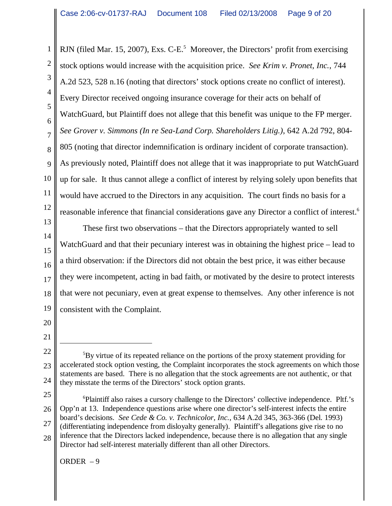1 2 3 4 5 6 7 8 9 10 11 12 RJN (filed Mar. 15, 2007), Exs. C-E.<sup>5</sup> Moreover, the Directors' profit from exercising stock options would increase with the acquisition price. *See Krim v. Pronet, Inc.*, 744 A.2d 523, 528 n.16 (noting that directors' stock options create no conflict of interest). Every Director received ongoing insurance coverage for their acts on behalf of WatchGuard, but Plaintiff does not allege that this benefit was unique to the FP merger. *See Grover v. Simmons (In re Sea-Land Corp. Shareholders Litig.)*, 642 A.2d 792, 804- 805 (noting that director indemnification is ordinary incident of corporate transaction). As previously noted, Plaintiff does not allege that it was inappropriate to put WatchGuard up for sale. It thus cannot allege a conflict of interest by relying solely upon benefits that would have accrued to the Directors in any acquisition. The court finds no basis for a reasonable inference that financial considerations gave any Director a conflict of interest.<sup>6</sup>

These first two observations – that the Directors appropriately wanted to sell

WatchGuard and that their pecuniary interest was in obtaining the highest price – lead to

they were incompetent, acting in bad faith, or motivated by the desire to protect interests

that were not pecuniary, even at great expense to themselves. Any other inference is not

a third observation: if the Directors did not obtain the best price, it was either because

consistent with the Complaint.

<sup>24</sup> <sup>5</sup>By virtue of its repeated reliance on the portions of the proxy statement providing for accelerated stock option vesting, the Complaint incorporates the stock agreements on which those statements are based. There is no allegation that the stock agreements are not authentic, or that they misstate the terms of the Directors' stock option grants.

<sup>25</sup> 26 27 28 <sup>6</sup>Plaintiff also raises a cursory challenge to the Directors' collective independence. Pltf.'s Opp'n at 13. Independence questions arise where one director's self-interest infects the entire board's decisions. *See Cede & Co. v. Technicolor, Inc.*, 634 A.2d 345, 363-366 (Del. 1993) (differentiating independence from disloyalty generally). Plaintiff's allegations give rise to no inference that the Directors lacked independence, because there is no allegation that any single Director had self-interest materially different than all other Directors.

ORDER – 9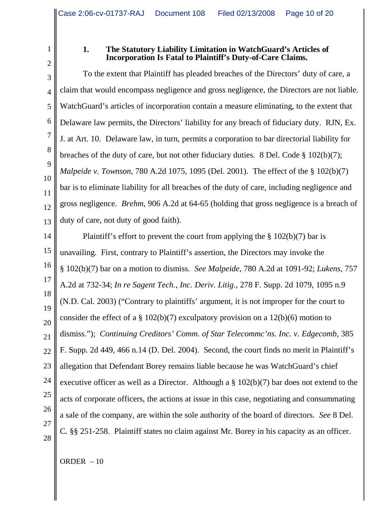2 3

4

5

6

7

8

9

10

11

12

13

1

#### **1. The Statutory Liability Limitation in WatchGuard's Articles of Incorporation Is Fatal to Plaintiff's Duty-of-Care Claims.**

To the extent that Plaintiff has pleaded breaches of the Directors' duty of care, a claim that would encompass negligence and gross negligence, the Directors are not liable. WatchGuard's articles of incorporation contain a measure eliminating, to the extent that Delaware law permits, the Directors' liability for any breach of fiduciary duty. RJN, Ex. J. at Art. 10. Delaware law, in turn, permits a corporation to bar directorial liability for breaches of the duty of care, but not other fiduciary duties. 8 Del. Code § 102(b)(7); *Malpeide v. Townson*, 780 A.2d 1075, 1095 (Del. 2001). The effect of the § 102(b)(7) bar is to eliminate liability for all breaches of the duty of care, including negligence and gross negligence. *Brehm*, 906 A.2d at 64-65 (holding that gross negligence is a breach of duty of care, not duty of good faith).

14 15 16 17 18 19 20 21 22 23 24 25 26 27 28 Plaintiff's effort to prevent the court from applying the  $\S$  102(b)(7) bar is unavailing. First, contrary to Plaintiff's assertion, the Directors may invoke the § 102(b)(7) bar on a motion to dismiss. *See Malpeide*, 780 A.2d at 1091-92; *Lukens*, 757 A.2d at 732-34; *In re Sagent Tech., Inc. Deriv. Litig.*, 278 F. Supp. 2d 1079, 1095 n.9 (N.D. Cal. 2003) ("Contrary to plaintiffs' argument, it is not improper for the court to consider the effect of a  $\S$  102(b)(7) exculpatory provision on a 12(b)(6) motion to dismiss."); *Continuing Creditors' Comm. of Star Telecommc'ns. Inc. v. Edgecomb*, 385 F. Supp. 2d 449, 466 n.14 (D. Del. 2004). Second, the court finds no merit in Plaintiff's allegation that Defendant Borey remains liable because he was WatchGuard's chief executive officer as well as a Director. Although a § 102(b)(7) bar does not extend to the acts of corporate officers, the actions at issue in this case, negotiating and consummating a sale of the company, are within the sole authority of the board of directors. *See* 8 Del. C. §§ 251-258. Plaintiff states no claim against Mr. Borey in his capacity as an officer.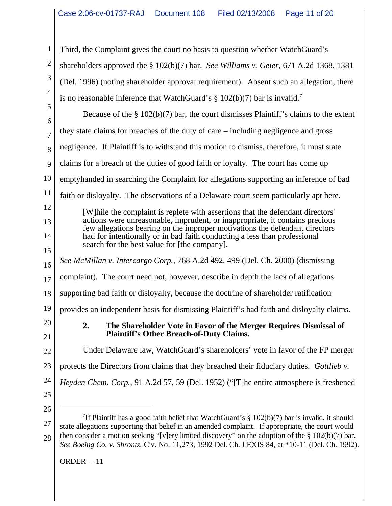Third, the Complaint gives the court no basis to question whether WatchGuard's shareholders approved the § 102(b)(7) bar. *See Williams v. Geier*, 671 A.2d 1368, 1381 (Del. 1996) (noting shareholder approval requirement). Absent such an allegation, there is no reasonable inference that WatchGuard's  $\S$  102(b)(7) bar is invalid.<sup>7</sup>

5 6 7 8 9 10 11 12 13 14 15 16 17 18 19 20 21 22 23 24 Because of the  $\S 102(b)(7)$  bar, the court dismisses Plaintiff's claims to the extent they state claims for breaches of the duty of care – including negligence and gross negligence. If Plaintiff is to withstand this motion to dismiss, therefore, it must state claims for a breach of the duties of good faith or loyalty. The court has come up emptyhanded in searching the Complaint for allegations supporting an inference of bad faith or disloyalty. The observations of a Delaware court seem particularly apt here. [W]hile the complaint is replete with assertions that the defendant directors' actions were unreasonable, imprudent, or inappropriate, it contains precious few allegations bearing on the improper motivations the defendant directors had for intentionally or in bad faith conducting a less than professional search for the best value for [the company]. *See McMillan v. Intercargo Corp.*, 768 A.2d 492, 499 (Del. Ch. 2000) (dismissing complaint). The court need not, however, describe in depth the lack of allegations supporting bad faith or disloyalty, because the doctrine of shareholder ratification provides an independent basis for dismissing Plaintiff's bad faith and disloyalty claims. **2. The Shareholder Vote in Favor of the Merger Requires Dismissal of Plaintiff's Other Breach-of-Duty Claims.** Under Delaware law, WatchGuard's shareholders' vote in favor of the FP merger protects the Directors from claims that they breached their fiduciary duties. *Gottlieb v. Heyden Chem. Corp.*, 91 A.2d 57, 59 (Del. 1952) ("[T]he entire atmosphere is freshened

25 26

1

2

3

4

<sup>27</sup> 28 <sup>7</sup>If Plaintiff has a good faith belief that WatchGuard's  $\S 102(b)(7)$  bar is invalid, it should state allegations supporting that belief in an amended complaint. If appropriate, the court would then consider a motion seeking "[v]ery limited discovery" on the adoption of the § 102(b)(7) bar. *See Boeing Co. v. Shrontz*, Civ. No. 11,273, 1992 Del. Ch. LEXIS 84, at \*10-11 (Del. Ch. 1992).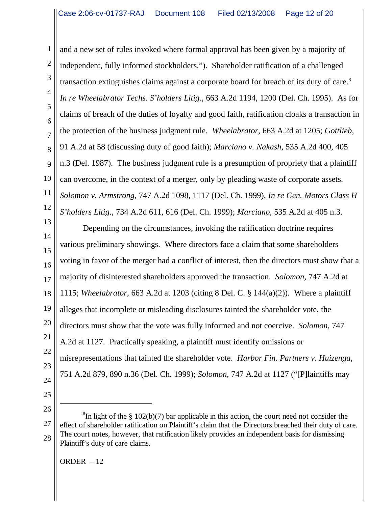1 2 3 4 5 6 7 8 9 10 11 12 and a new set of rules invoked where formal approval has been given by a majority of independent, fully informed stockholders."). Shareholder ratification of a challenged transaction extinguishes claims against a corporate board for breach of its duty of care.<sup>8</sup> *In re Wheelabrator Techs. S'holders Litig.*, 663 A.2d 1194, 1200 (Del. Ch. 1995). As for claims of breach of the duties of loyalty and good faith, ratification cloaks a transaction in the protection of the business judgment rule. *Wheelabrator*, 663 A.2d at 1205; *Gottlieb*, 91 A.2d at 58 (discussing duty of good faith); *Marciano v. Nakash*, 535 A.2d 400, 405 n.3 (Del. 1987). The business judgment rule is a presumption of propriety that a plaintiff can overcome, in the context of a merger, only by pleading waste of corporate assets. *Solomon v. Armstrong*, 747 A.2d 1098, 1117 (Del. Ch. 1999), *In re Gen. Motors Class H S'holders Litig*., 734 A.2d 611, 616 (Del. Ch. 1999); *Marciano*, 535 A.2d at 405 n.3.

13 14 15 16 17 18 19 20 21 22 23 24 Depending on the circumstances, invoking the ratification doctrine requires various preliminary showings. Where directors face a claim that some shareholders voting in favor of the merger had a conflict of interest, then the directors must show that a majority of disinterested shareholders approved the transaction. *Solomon*, 747 A.2d at 1115; *Wheelabrator*, 663 A.2d at 1203 (citing 8 Del. C. § 144(a)(2)). Where a plaintiff alleges that incomplete or misleading disclosures tainted the shareholder vote, the directors must show that the vote was fully informed and not coercive. *Solomon*, 747 A.2d at 1127. Practically speaking, a plaintiff must identify omissions or misrepresentations that tainted the shareholder vote. *Harbor Fin. Partners v. Huizenga*, 751 A.2d 879, 890 n.36 (Del. Ch. 1999); *Solomon*, 747 A.2d at 1127 ("[P]laintiffs may

<sup>27</sup> 28 <sup>8</sup>In light of the  $\S 102(b)(7)$  bar applicable in this action, the court need not consider the effect of shareholder ratification on Plaintiff's claim that the Directors breached their duty of care. The court notes, however, that ratification likely provides an independent basis for dismissing Plaintiff's duty of care claims.

ORDER – 12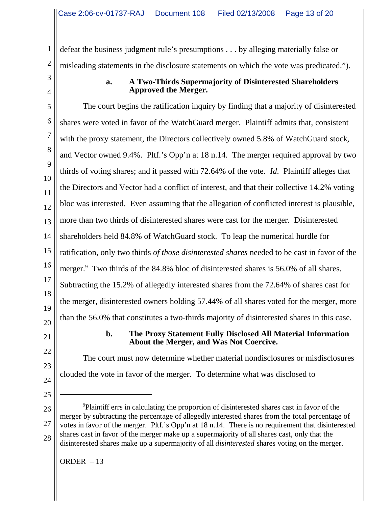defeat the business judgment rule's presumptions . . . by alleging materially false or misleading statements in the disclosure statements on which the vote was predicated.").

# **a. A Two-Thirds Supermajority of Disinterested Shareholders Approved the Merger.**

5 6 7 8 9 10 11 12 13 14 15 16 17 18 19 20 The court begins the ratification inquiry by finding that a majority of disinterested shares were voted in favor of the WatchGuard merger. Plaintiff admits that, consistent with the proxy statement, the Directors collectively owned 5.8% of WatchGuard stock, and Vector owned 9.4%. Pltf.'s Opp'n at 18 n.14. The merger required approval by two thirds of voting shares; and it passed with 72.64% of the vote. *Id*. Plaintiff alleges that the Directors and Vector had a conflict of interest, and that their collective 14.2% voting bloc was interested. Even assuming that the allegation of conflicted interest is plausible, more than two thirds of disinterested shares were cast for the merger. Disinterested shareholders held 84.8% of WatchGuard stock. To leap the numerical hurdle for ratification, only two thirds *of those disinterested shares* needed to be cast in favor of the merger.<sup>9</sup> Two thirds of the 84.8% bloc of disinterested shares is 56.0% of all shares. Subtracting the 15.2% of allegedly interested shares from the 72.64% of shares cast for the merger, disinterested owners holding 57.44% of all shares voted for the merger, more than the 56.0% that constitutes a two-thirds majority of disinterested shares in this case.

21

22

23

24

25

26

27

28

1

2

3

4

# **b. The Proxy Statement Fully Disclosed All Material Information About the Merger, and Was Not Coercive.**

The court must now determine whether material nondisclosures or misdisclosures clouded the vote in favor of the merger. To determine what was disclosed to

9 Plaintiff errs in calculating the proportion of disinterested shares cast in favor of the merger by subtracting the percentage of allegedly interested shares from the total percentage of votes in favor of the merger. Pltf.'s Opp'n at 18 n.14. There is no requirement that disinterested shares cast in favor of the merger make up a supermajority of all shares cast, only that the disinterested shares make up a supermajority of all *disinterested* shares voting on the merger.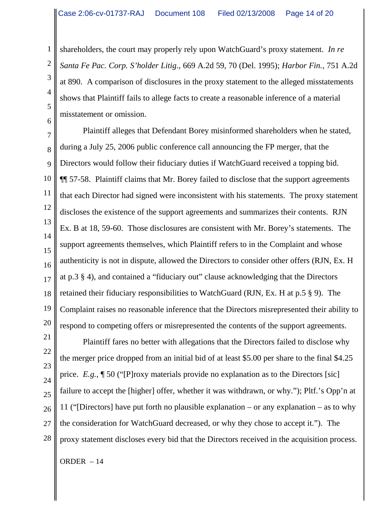shareholders, the court may properly rely upon WatchGuard's proxy statement. *In re Santa Fe Pac. Corp. S'holder Litig*., 669 A.2d 59, 70 (Del. 1995); *Harbor Fin.*, 751 A.2d at 890. A comparison of disclosures in the proxy statement to the alleged misstatements shows that Plaintiff fails to allege facts to create a reasonable inference of a material misstatement or omission.

7 8 9 10 11 12 13 14 15 16 17 18 19 Plaintiff alleges that Defendant Borey misinformed shareholders when he stated, during a July 25, 2006 public conference call announcing the FP merger, that the Directors would follow their fiduciary duties if WatchGuard received a topping bid. ¶¶ 57-58. Plaintiff claims that Mr. Borey failed to disclose that the support agreements that each Director had signed were inconsistent with his statements. The proxy statement discloses the existence of the support agreements and summarizes their contents. RJN Ex. B at 18, 59-60. Those disclosures are consistent with Mr. Borey's statements. The support agreements themselves, which Plaintiff refers to in the Complaint and whose authenticity is not in dispute, allowed the Directors to consider other offers (RJN, Ex. H at p.3 § 4), and contained a "fiduciary out" clause acknowledging that the Directors retained their fiduciary responsibilities to WatchGuard (RJN, Ex. H at p.5 § 9). The Complaint raises no reasonable inference that the Directors misrepresented their ability to respond to competing offers or misrepresented the contents of the support agreements.

1

2

3

4

5

6

Plaintiff fares no better with allegations that the Directors failed to disclose why the merger price dropped from an initial bid of at least \$5.00 per share to the final \$4.25 price. *E.g.*, ¶ 50 ("[P]roxy materials provide no explanation as to the Directors [sic] failure to accept the [higher] offer, whether it was withdrawn, or why."); Pltf.'s Opp'n at 11 ("[Directors] have put forth no plausible explanation – or any explanation – as to why the consideration for WatchGuard decreased, or why they chose to accept it."). The proxy statement discloses every bid that the Directors received in the acquisition process.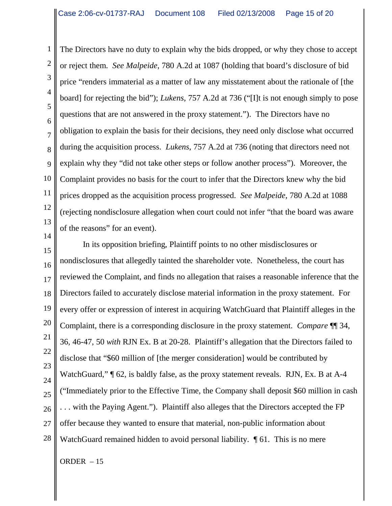1 2 3 4 5 6 7 8 9 10 11 12 13 The Directors have no duty to explain why the bids dropped, or why they chose to accept or reject them. *See Malpeide*, 780 A.2d at 1087 (holding that board's disclosure of bid price "renders immaterial as a matter of law any misstatement about the rationale of [the board] for rejecting the bid"); *Lukens*, 757 A.2d at 736 ("[I]t is not enough simply to pose questions that are not answered in the proxy statement."). The Directors have no obligation to explain the basis for their decisions, they need only disclose what occurred during the acquisition process. *Lukens*, 757 A.2d at 736 (noting that directors need not explain why they "did not take other steps or follow another process"). Moreover, the Complaint provides no basis for the court to infer that the Directors knew why the bid prices dropped as the acquisition process progressed. *See Malpeide*, 780 A.2d at 1088 (rejecting nondisclosure allegation when court could not infer "that the board was aware of the reasons" for an event).

15 16 17 18 19 20 21 22 23 24 25 26 27 28 In its opposition briefing, Plaintiff points to no other misdisclosures or nondisclosures that allegedly tainted the shareholder vote. Nonetheless, the court has reviewed the Complaint, and finds no allegation that raises a reasonable inference that the Directors failed to accurately disclose material information in the proxy statement. For every offer or expression of interest in acquiring WatchGuard that Plaintiff alleges in the Complaint, there is a corresponding disclosure in the proxy statement. *Compare* ¶¶ 34, 36, 46-47, 50 *with* RJN Ex. B at 20-28. Plaintiff's allegation that the Directors failed to disclose that "\$60 million of [the merger consideration] would be contributed by WatchGuard," ¶ 62, is baldly false, as the proxy statement reveals. RJN, Ex. B at A-4 ("Immediately prior to the Effective Time, the Company shall deposit \$60 million in cash . . . with the Paying Agent."). Plaintiff also alleges that the Directors accepted the FP offer because they wanted to ensure that material, non-public information about WatchGuard remained hidden to avoid personal liability.  $\P$  61. This is no mere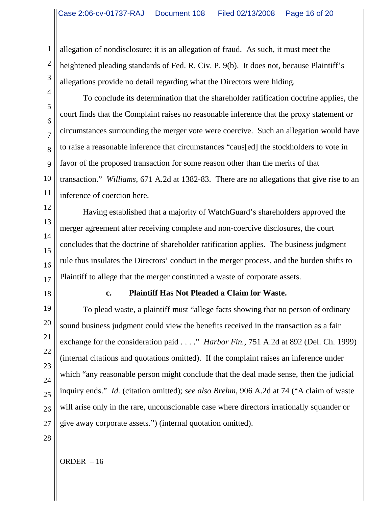allegation of nondisclosure; it is an allegation of fraud. As such, it must meet the heightened pleading standards of Fed. R. Civ. P. 9(b). It does not, because Plaintiff's allegations provide no detail regarding what the Directors were hiding.

5 8 9 10 To conclude its determination that the shareholder ratification doctrine applies, the court finds that the Complaint raises no reasonable inference that the proxy statement or circumstances surrounding the merger vote were coercive. Such an allegation would have to raise a reasonable inference that circumstances "caus[ed] the stockholders to vote in favor of the proposed transaction for some reason other than the merits of that transaction." *Williams*, 671 A.2d at 1382-83. There are no allegations that give rise to an inference of coercion here.

12 13 14 15 16 17 Having established that a majority of WatchGuard's shareholders approved the merger agreement after receiving complete and non-coercive disclosures, the court concludes that the doctrine of shareholder ratification applies. The business judgment rule thus insulates the Directors' conduct in the merger process, and the burden shifts to Plaintiff to allege that the merger constituted a waste of corporate assets.

18

1

2

3

4

6

7

11

# **c. Plaintiff Has Not Pleaded a Claim for Waste.**

19 20 21 22 23  $24$ 25 26 27 To plead waste, a plaintiff must "allege facts showing that no person of ordinary sound business judgment could view the benefits received in the transaction as a fair exchange for the consideration paid . . . ." *Harbor Fin.*, 751 A.2d at 892 (Del. Ch. 1999) (internal citations and quotations omitted). If the complaint raises an inference under which "any reasonable person might conclude that the deal made sense, then the judicial inquiry ends." *Id.* (citation omitted); *see also Brehm*, 906 A.2d at 74 ("A claim of waste will arise only in the rare, unconscionable case where directors irrationally squander or give away corporate assets.") (internal quotation omitted).

28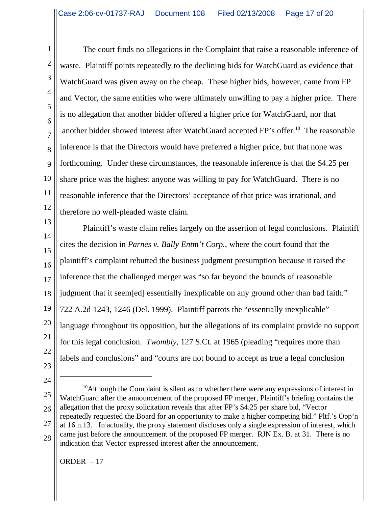1 2 3 4 5 6 7 8 9 10 11 12 The court finds no allegations in the Complaint that raise a reasonable inference of waste. Plaintiff points repeatedly to the declining bids for WatchGuard as evidence that WatchGuard was given away on the cheap. These higher bids, however, came from FP and Vector, the same entities who were ultimately unwilling to pay a higher price. There is no allegation that another bidder offered a higher price for WatchGuard, nor that another bidder showed interest after WatchGuard accepted FP's offer.10 The reasonable inference is that the Directors would have preferred a higher price, but that none was forthcoming. Under these circumstances, the reasonable inference is that the \$4.25 per share price was the highest anyone was willing to pay for WatchGuard. There is no reasonable inference that the Directors' acceptance of that price was irrational, and therefore no well-pleaded waste claim.

13 14 15 16 17 18 19 20 21 22 Plaintiff's waste claim relies largely on the assertion of legal conclusions. Plaintiff cites the decision in *Parnes v. Bally Entm't Corp.*, where the court found that the plaintiff's complaint rebutted the business judgment presumption because it raised the inference that the challenged merger was "so far beyond the bounds of reasonable judgment that it seem[ed] essentially inexplicable on any ground other than bad faith." 722 A.2d 1243, 1246 (Del. 1999). Plaintiff parrots the "essentially inexplicable" language throughout its opposition, but the allegations of its complaint provide no support for this legal conclusion. *Twombly*, 127 S.Ct. at 1965 (pleading "requires more than labels and conclusions" and "courts are not bound to accept as true a legal conclusion

- 23
- 24

25 26 27  $10$ Although the Complaint is silent as to whether there were any expressions of interest in WatchGuard after the announcement of the proposed FP merger, Plaintiff's briefing contains the allegation that the proxy solicitation reveals that after FP's \$4.25 per share bid, "Vector repeatedly requested the Board for an opportunity to make a higher competing bid." Pltf.'s Opp'n at 16 n.13. In actuality, the proxy statement discloses only a single expression of interest, which came just before the announcement of the proposed FP merger. RJN Ex. B. at 31. There is no indication that Vector expressed interest after the announcement.

28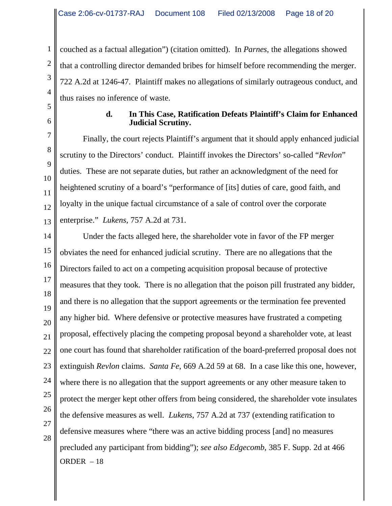couched as a factual allegation") (citation omitted). In *Parnes*, the allegations showed that a controlling director demanded bribes for himself before recommending the merger. 722 A.2d at 1246-47. Plaintiff makes no allegations of similarly outrageous conduct, and thus raises no inference of waste.

#### **d. In This Case, Ratification Defeats Plaintiff's Claim for Enhanced Judicial Scrutiny.**

Finally, the court rejects Plaintiff's argument that it should apply enhanced judicial scrutiny to the Directors' conduct. Plaintiff invokes the Directors' so-called "*Revlon*" duties. These are not separate duties, but rather an acknowledgment of the need for heightened scrutiny of a board's "performance of [its] duties of care, good faith, and loyalty in the unique factual circumstance of a sale of control over the corporate enterprise." *Lukens*, 757 A.2d at 731.

ORDER – 18 Under the facts alleged here, the shareholder vote in favor of the FP merger obviates the need for enhanced judicial scrutiny. There are no allegations that the Directors failed to act on a competing acquisition proposal because of protective measures that they took. There is no allegation that the poison pill frustrated any bidder, and there is no allegation that the support agreements or the termination fee prevented any higher bid. Where defensive or protective measures have frustrated a competing proposal, effectively placing the competing proposal beyond a shareholder vote, at least one court has found that shareholder ratification of the board-preferred proposal does not extinguish *Revlon* claims. *Santa Fe*, 669 A.2d 59 at 68. In a case like this one, however, where there is no allegation that the support agreements or any other measure taken to protect the merger kept other offers from being considered, the shareholder vote insulates the defensive measures as well. *Lukens*, 757 A.2d at 737 (extending ratification to defensive measures where "there was an active bidding process [and] no measures precluded any participant from bidding"); *see also Edgecomb*, 385 F. Supp. 2d at 466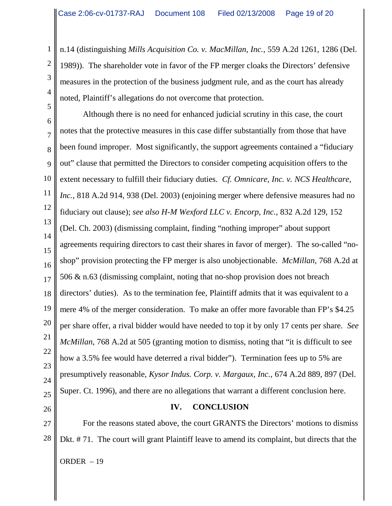1

2

3

4

5

26

n.14 (distinguishing *Mills Acquisition Co. v. MacMillan, Inc.*, 559 A.2d 1261, 1286 (Del. 1989)). The shareholder vote in favor of the FP merger cloaks the Directors' defensive measures in the protection of the business judgment rule, and as the court has already noted, Plaintiff's allegations do not overcome that protection.

6 7 8 9 10 11 12 13 14 15 16 17 18 19 20 21 22 23 24 25 Although there is no need for enhanced judicial scrutiny in this case, the court notes that the protective measures in this case differ substantially from those that have been found improper. Most significantly, the support agreements contained a "fiduciary out" clause that permitted the Directors to consider competing acquisition offers to the extent necessary to fulfill their fiduciary duties. *Cf. Omnicare, Inc. v. NCS Healthcare*, *Inc.*, 818 A.2d 914, 938 (Del. 2003) (enjoining merger where defensive measures had no fiduciary out clause); *see also H-M Wexford LLC v. Encorp, Inc.*, 832 A.2d 129, 152 (Del. Ch. 2003) (dismissing complaint, finding "nothing improper" about support agreements requiring directors to cast their shares in favor of merger). The so-called "noshop" provision protecting the FP merger is also unobjectionable. *McMillan*, 768 A.2d at 506 & n.63 (dismissing complaint, noting that no-shop provision does not breach directors' duties). As to the termination fee, Plaintiff admits that it was equivalent to a mere 4% of the merger consideration. To make an offer more favorable than FP's \$4.25 per share offer, a rival bidder would have needed to top it by only 17 cents per share. *See McMillan*, 768 A.2d at 505 (granting motion to dismiss, noting that "it is difficult to see how a 3.5% fee would have deterred a rival bidder"). Termination fees up to 5% are presumptively reasonable, *Kysor Indus. Corp. v. Margaux, Inc.*, 674 A.2d 889, 897 (Del. Super. Ct. 1996), and there are no allegations that warrant a different conclusion here.

**IV. CONCLUSION**

27 28 ORDER – 19 For the reasons stated above, the court GRANTS the Directors' motions to dismiss Dkt. # 71. The court will grant Plaintiff leave to amend its complaint, but directs that the